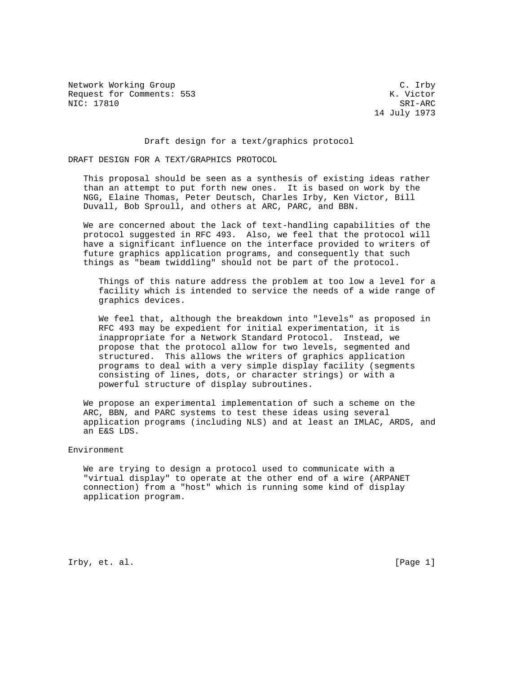Network Working Group Carrolland C. Irby C. Irby Request for Comments: 553 K. Victor NIC: 17810 SRI-ARC

14 July 1973

Draft design for a text/graphics protocol

DRAFT DESIGN FOR A TEXT/GRAPHICS PROTOCOL

 This proposal should be seen as a synthesis of existing ideas rather than an attempt to put forth new ones. It is based on work by the NGG, Elaine Thomas, Peter Deutsch, Charles Irby, Ken Victor, Bill Duvall, Bob Sproull, and others at ARC, PARC, and BBN.

 We are concerned about the lack of text-handling capabilities of the protocol suggested in RFC 493. Also, we feel that the protocol will have a significant influence on the interface provided to writers of future graphics application programs, and consequently that such things as "beam twiddling" should not be part of the protocol.

 Things of this nature address the problem at too low a level for a facility which is intended to service the needs of a wide range of graphics devices.

 We feel that, although the breakdown into "levels" as proposed in RFC 493 may be expedient for initial experimentation, it is inappropriate for a Network Standard Protocol. Instead, we propose that the protocol allow for two levels, segmented and structured. This allows the writers of graphics application programs to deal with a very simple display facility (segments consisting of lines, dots, or character strings) or with a powerful structure of display subroutines.

 We propose an experimental implementation of such a scheme on the ARC, BBN, and PARC systems to test these ideas using several application programs (including NLS) and at least an IMLAC, ARDS, and an E&S LDS.

Environment

 We are trying to design a protocol used to communicate with a "virtual display" to operate at the other end of a wire (ARPANET connection) from a "host" which is running some kind of display application program.

Irby, et. al. [Page 1]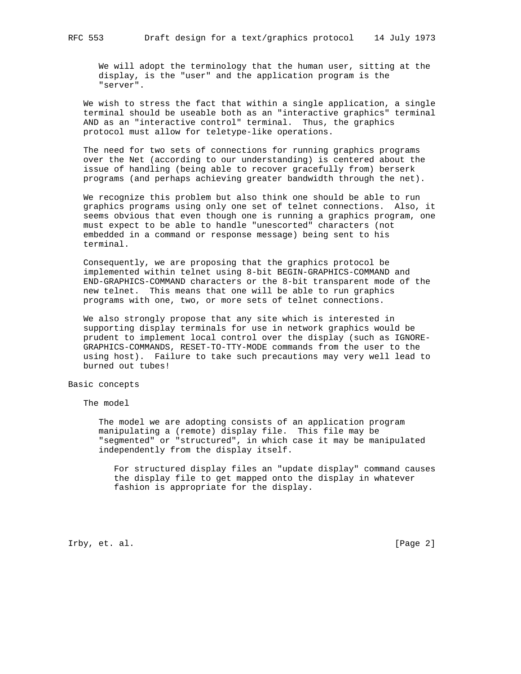We will adopt the terminology that the human user, sitting at the display, is the "user" and the application program is the "server".

 We wish to stress the fact that within a single application, a single terminal should be useable both as an "interactive graphics" terminal AND as an "interactive control" terminal. Thus, the graphics protocol must allow for teletype-like operations.

 The need for two sets of connections for running graphics programs over the Net (according to our understanding) is centered about the issue of handling (being able to recover gracefully from) berserk programs (and perhaps achieving greater bandwidth through the net).

 We recognize this problem but also think one should be able to run graphics programs using only one set of telnet connections. Also, it seems obvious that even though one is running a graphics program, one must expect to be able to handle "unescorted" characters (not embedded in a command or response message) being sent to his terminal.

 Consequently, we are proposing that the graphics protocol be implemented within telnet using 8-bit BEGIN-GRAPHICS-COMMAND and END-GRAPHICS-COMMAND characters or the 8-bit transparent mode of the new telnet. This means that one will be able to run graphics programs with one, two, or more sets of telnet connections.

 We also strongly propose that any site which is interested in supporting display terminals for use in network graphics would be prudent to implement local control over the display (such as IGNORE- GRAPHICS-COMMANDS, RESET-TO-TTY-MODE commands from the user to the using host). Failure to take such precautions may very well lead to burned out tubes!

# Basic concepts

The model

 The model we are adopting consists of an application program manipulating a (remote) display file. This file may be "segmented" or "structured", in which case it may be manipulated independently from the display itself.

 For structured display files an "update display" command causes the display file to get mapped onto the display in whatever fashion is appropriate for the display.

Irby, et. al. [Page 2]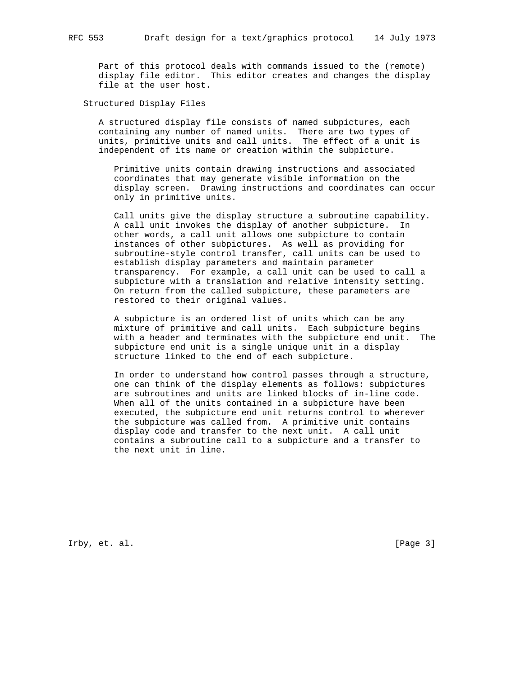Part of this protocol deals with commands issued to the (remote) display file editor. This editor creates and changes the display file at the user host.

Structured Display Files

 A structured display file consists of named subpictures, each containing any number of named units. There are two types of units, primitive units and call units. The effect of a unit is independent of its name or creation within the subpicture.

 Primitive units contain drawing instructions and associated coordinates that may generate visible information on the display screen. Drawing instructions and coordinates can occur only in primitive units.

 Call units give the display structure a subroutine capability. A call unit invokes the display of another subpicture. In other words, a call unit allows one subpicture to contain instances of other subpictures. As well as providing for subroutine-style control transfer, call units can be used to establish display parameters and maintain parameter transparency. For example, a call unit can be used to call a subpicture with a translation and relative intensity setting. On return from the called subpicture, these parameters are restored to their original values.

 A subpicture is an ordered list of units which can be any mixture of primitive and call units. Each subpicture begins with a header and terminates with the subpicture end unit. The subpicture end unit is a single unique unit in a display structure linked to the end of each subpicture.

 In order to understand how control passes through a structure, one can think of the display elements as follows: subpictures are subroutines and units are linked blocks of in-line code. When all of the units contained in a subpicture have been executed, the subpicture end unit returns control to wherever the subpicture was called from. A primitive unit contains display code and transfer to the next unit. A call unit contains a subroutine call to a subpicture and a transfer to the next unit in line.

Irby, et. al. [Page 3]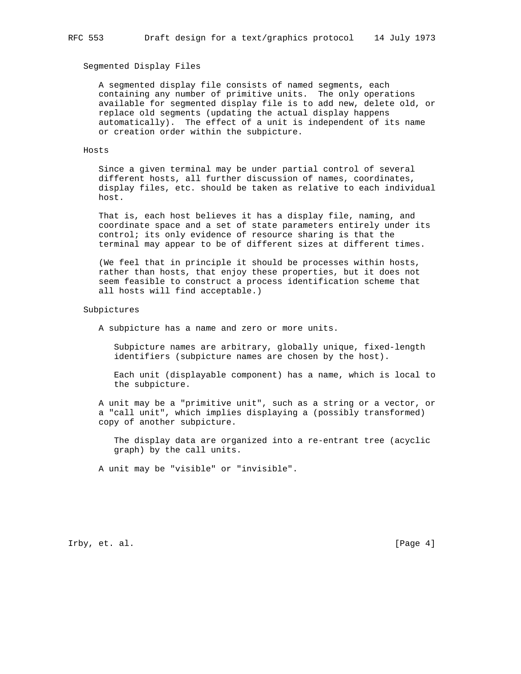# Segmented Display Files

 A segmented display file consists of named segments, each containing any number of primitive units. The only operations available for segmented display file is to add new, delete old, or replace old segments (updating the actual display happens automatically). The effect of a unit is independent of its name or creation order within the subpicture.

### Hosts

 Since a given terminal may be under partial control of several different hosts, all further discussion of names, coordinates, display files, etc. should be taken as relative to each individual host.

 That is, each host believes it has a display file, naming, and coordinate space and a set of state parameters entirely under its control; its only evidence of resource sharing is that the terminal may appear to be of different sizes at different times.

 (We feel that in principle it should be processes within hosts, rather than hosts, that enjoy these properties, but it does not seem feasible to construct a process identification scheme that all hosts will find acceptable.)

#### Subpictures

A subpicture has a name and zero or more units.

 Subpicture names are arbitrary, globally unique, fixed-length identifiers (subpicture names are chosen by the host).

 Each unit (displayable component) has a name, which is local to the subpicture.

 A unit may be a "primitive unit", such as a string or a vector, or a "call unit", which implies displaying a (possibly transformed) copy of another subpicture.

 The display data are organized into a re-entrant tree (acyclic graph) by the call units.

A unit may be "visible" or "invisible".

Irby, et. al. [Page 4]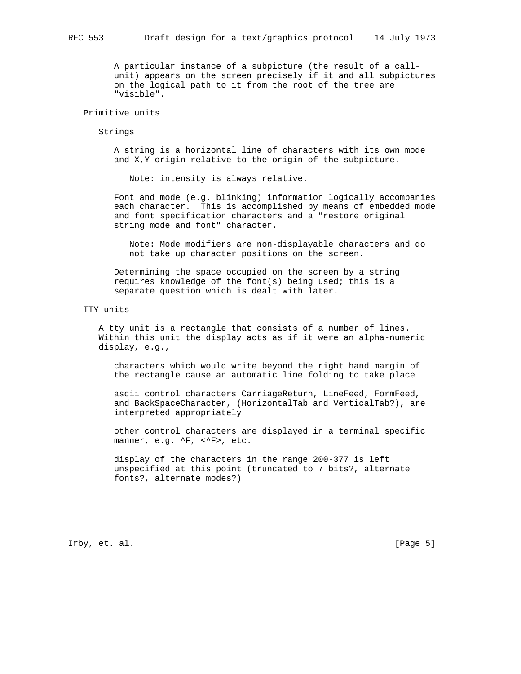A particular instance of a subpicture (the result of a call unit) appears on the screen precisely if it and all subpictures on the logical path to it from the root of the tree are "visible".

### Primitive units

Strings

 A string is a horizontal line of characters with its own mode and X,Y origin relative to the origin of the subpicture.

Note: intensity is always relative.

 Font and mode (e.g. blinking) information logically accompanies each character. This is accomplished by means of embedded mode and font specification characters and a "restore original string mode and font" character.

 Note: Mode modifiers are non-displayable characters and do not take up character positions on the screen.

 Determining the space occupied on the screen by a string requires knowledge of the font(s) being used; this is a separate question which is dealt with later.

### TTY units

 A tty unit is a rectangle that consists of a number of lines. Within this unit the display acts as if it were an alpha-numeric display, e.g.,

 characters which would write beyond the right hand margin of the rectangle cause an automatic line folding to take place

 ascii control characters CarriageReturn, LineFeed, FormFeed, and BackSpaceCharacter, (HorizontalTab and VerticalTab?), are interpreted appropriately

 other control characters are displayed in a terminal specific manner, e.g. ^F, <^F>, etc.

 display of the characters in the range 200-377 is left unspecified at this point (truncated to 7 bits?, alternate fonts?, alternate modes?)

Irby, et. al. [Page 5]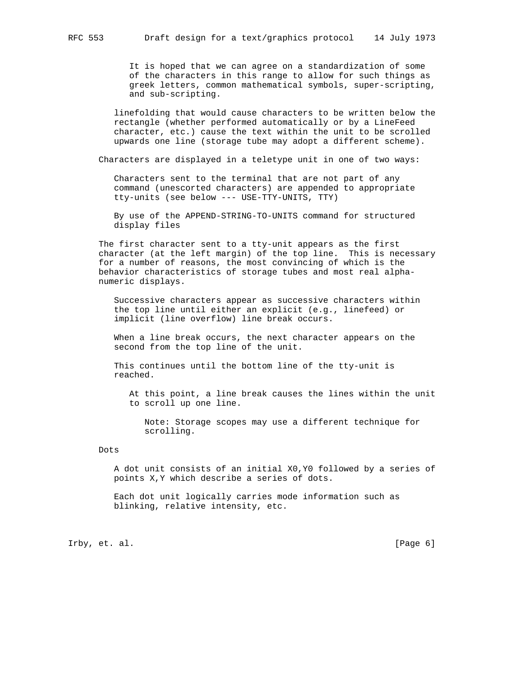It is hoped that we can agree on a standardization of some of the characters in this range to allow for such things as greek letters, common mathematical symbols, super-scripting, and sub-scripting.

 linefolding that would cause characters to be written below the rectangle (whether performed automatically or by a LineFeed character, etc.) cause the text within the unit to be scrolled upwards one line (storage tube may adopt a different scheme).

Characters are displayed in a teletype unit in one of two ways:

 Characters sent to the terminal that are not part of any command (unescorted characters) are appended to appropriate tty-units (see below --- USE-TTY-UNITS, TTY)

 By use of the APPEND-STRING-TO-UNITS command for structured display files

 The first character sent to a tty-unit appears as the first character (at the left margin) of the top line. This is necessary for a number of reasons, the most convincing of which is the behavior characteristics of storage tubes and most real alpha numeric displays.

 Successive characters appear as successive characters within the top line until either an explicit (e.g., linefeed) or implicit (line overflow) line break occurs.

 When a line break occurs, the next character appears on the second from the top line of the unit.

 This continues until the bottom line of the tty-unit is reached.

 At this point, a line break causes the lines within the unit to scroll up one line.

 Note: Storage scopes may use a different technique for scrolling.

# Dots

 A dot unit consists of an initial X0,Y0 followed by a series of points X,Y which describe a series of dots.

 Each dot unit logically carries mode information such as blinking, relative intensity, etc.

Irby, et. al. [Page 6]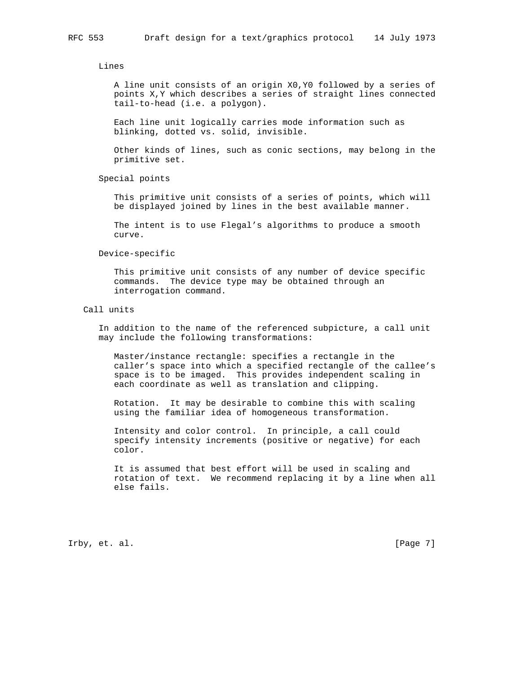Lines

 A line unit consists of an origin X0,Y0 followed by a series of points X,Y which describes a series of straight lines connected tail-to-head (i.e. a polygon).

 Each line unit logically carries mode information such as blinking, dotted vs. solid, invisible.

 Other kinds of lines, such as conic sections, may belong in the primitive set.

Special points

 This primitive unit consists of a series of points, which will be displayed joined by lines in the best available manner.

 The intent is to use Flegal's algorithms to produce a smooth curve.

Device-specific

 This primitive unit consists of any number of device specific commands. The device type may be obtained through an interrogation command.

Call units

 In addition to the name of the referenced subpicture, a call unit may include the following transformations:

 Master/instance rectangle: specifies a rectangle in the caller's space into which a specified rectangle of the callee's space is to be imaged. This provides independent scaling in each coordinate as well as translation and clipping.

 Rotation. It may be desirable to combine this with scaling using the familiar idea of homogeneous transformation.

 Intensity and color control. In principle, a call could specify intensity increments (positive or negative) for each color.

 It is assumed that best effort will be used in scaling and rotation of text. We recommend replacing it by a line when all else fails.

Irby, et. al. [Page 7]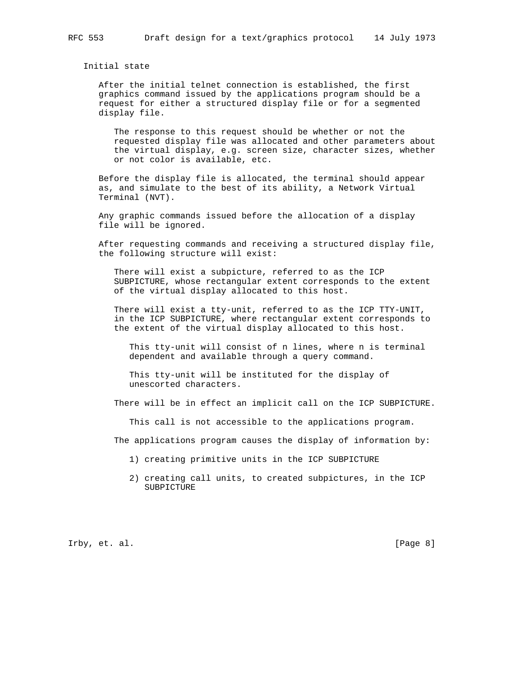Initial state

 After the initial telnet connection is established, the first graphics command issued by the applications program should be a request for either a structured display file or for a segmented display file.

 The response to this request should be whether or not the requested display file was allocated and other parameters about the virtual display, e.g. screen size, character sizes, whether or not color is available, etc.

 Before the display file is allocated, the terminal should appear as, and simulate to the best of its ability, a Network Virtual Terminal (NVT).

 Any graphic commands issued before the allocation of a display file will be ignored.

 After requesting commands and receiving a structured display file, the following structure will exist:

 There will exist a subpicture, referred to as the ICP SUBPICTURE, whose rectangular extent corresponds to the extent of the virtual display allocated to this host.

There will exist a tty-unit, referred to as the ICP TTY-UNIT, in the ICP SUBPICTURE, where rectangular extent corresponds to the extent of the virtual display allocated to this host.

 This tty-unit will consist of n lines, where n is terminal dependent and available through a query command.

 This tty-unit will be instituted for the display of unescorted characters.

There will be in effect an implicit call on the ICP SUBPICTURE.

This call is not accessible to the applications program.

The applications program causes the display of information by:

- 1) creating primitive units in the ICP SUBPICTURE
- 2) creating call units, to created subpictures, in the ICP SUBPICTURE

Irby, et. al. [Page 8]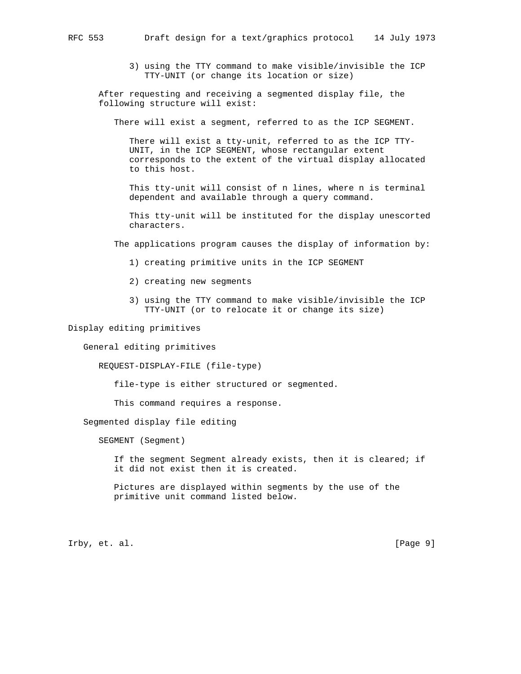3) using the TTY command to make visible/invisible the ICP TTY-UNIT (or change its location or size)

 After requesting and receiving a segmented display file, the following structure will exist:

There will exist a segment, referred to as the ICP SEGMENT.

 There will exist a tty-unit, referred to as the ICP TTY- UNIT, in the ICP SEGMENT, whose rectangular extent corresponds to the extent of the virtual display allocated to this host.

 This tty-unit will consist of n lines, where n is terminal dependent and available through a query command.

 This tty-unit will be instituted for the display unescorted characters.

The applications program causes the display of information by:

- 1) creating primitive units in the ICP SEGMENT
- 2) creating new segments
- 3) using the TTY command to make visible/invisible the ICP TTY-UNIT (or to relocate it or change its size)

Display editing primitives

General editing primitives

REQUEST-DISPLAY-FILE (file-type)

file-type is either structured or segmented.

This command requires a response.

Segmented display file editing

SEGMENT (Segment)

 If the segment Segment already exists, then it is cleared; if it did not exist then it is created.

 Pictures are displayed within segments by the use of the primitive unit command listed below.

Irby, et. al. [Page 9]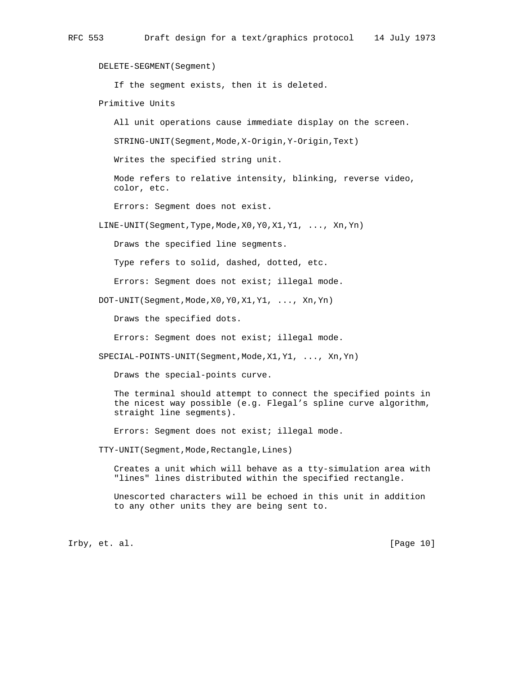DELETE-SEGMENT(Segment)

If the segment exists, then it is deleted.

Primitive Units

All unit operations cause immediate display on the screen.

STRING-UNIT(Segment,Mode,X-Origin,Y-Origin,Text)

Writes the specified string unit.

 Mode refers to relative intensity, blinking, reverse video, color, etc.

Errors: Segment does not exist.

LINE-UNIT(Segment,Type,Mode,X0,Y0,X1,Y1, ..., Xn,Yn)

Draws the specified line segments.

Type refers to solid, dashed, dotted, etc.

Errors: Segment does not exist; illegal mode.

DOT-UNIT(Segment,Mode,X0,Y0,X1,Y1, ..., Xn,Yn)

Draws the specified dots.

Errors: Segment does not exist; illegal mode.

SPECIAL-POINTS-UNIT(Segment, Mode, X1, Y1, ..., Xn, Yn)

Draws the special-points curve.

 The terminal should attempt to connect the specified points in the nicest way possible (e.g. Flegal's spline curve algorithm, straight line segments).

Errors: Segment does not exist; illegal mode.

TTY-UNIT(Segment,Mode,Rectangle,Lines)

 Creates a unit which will behave as a tty-simulation area with "lines" lines distributed within the specified rectangle.

 Unescorted characters will be echoed in this unit in addition to any other units they are being sent to.

Irby, et. al. [Page 10]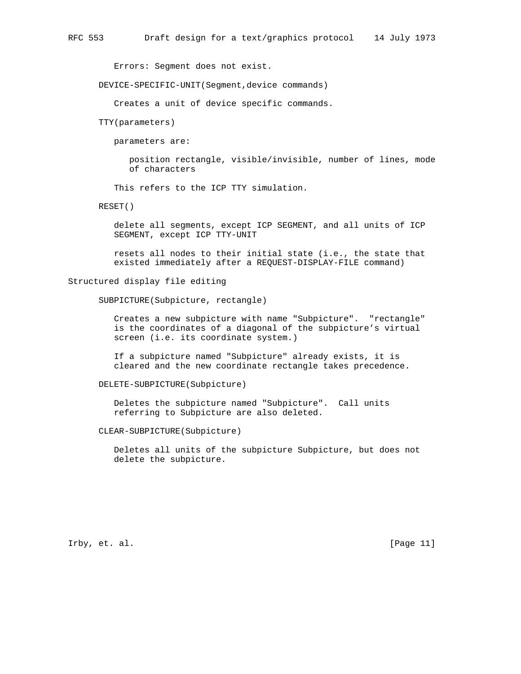Errors: Segment does not exist.

DEVICE-SPECIFIC-UNIT(Segment,device commands)

Creates a unit of device specific commands.

TTY(parameters)

parameters are:

 position rectangle, visible/invisible, number of lines, mode of characters

This refers to the ICP TTY simulation.

RESET()

 delete all segments, except ICP SEGMENT, and all units of ICP SEGMENT, except ICP TTY-UNIT

 resets all nodes to their initial state (i.e., the state that existed immediately after a REQUEST-DISPLAY-FILE command)

Structured display file editing

SUBPICTURE(Subpicture, rectangle)

 Creates a new subpicture with name "Subpicture". "rectangle" is the coordinates of a diagonal of the subpicture's virtual screen (i.e. its coordinate system.)

 If a subpicture named "Subpicture" already exists, it is cleared and the new coordinate rectangle takes precedence.

DELETE-SUBPICTURE(Subpicture)

 Deletes the subpicture named "Subpicture". Call units referring to Subpicture are also deleted.

CLEAR-SUBPICTURE(Subpicture)

 Deletes all units of the subpicture Subpicture, but does not delete the subpicture.

Irby, et. al. [Page 11]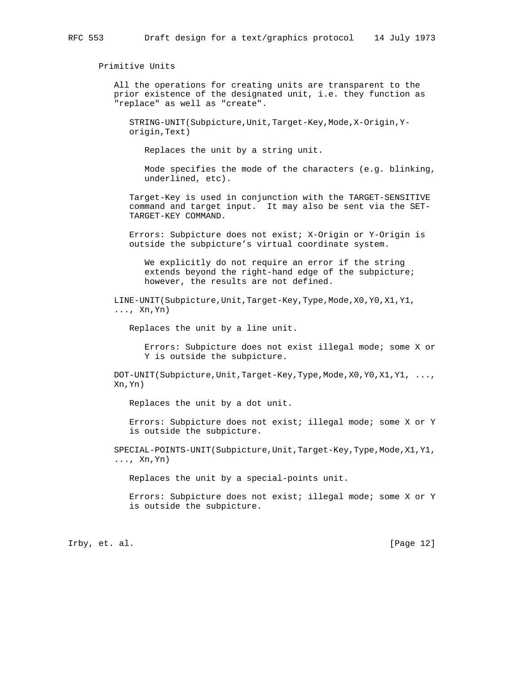Primitive Units

 All the operations for creating units are transparent to the prior existence of the designated unit, i.e. they function as "replace" as well as "create".

 STRING-UNIT(Subpicture,Unit,Target-Key,Mode,X-Origin,Y origin,Text)

Replaces the unit by a string unit.

 Mode specifies the mode of the characters (e.g. blinking, underlined, etc).

 Target-Key is used in conjunction with the TARGET-SENSITIVE command and target input. It may also be sent via the SET- TARGET-KEY COMMAND.

 Errors: Subpicture does not exist; X-Origin or Y-Origin is outside the subpicture's virtual coordinate system.

 We explicitly do not require an error if the string extends beyond the right-hand edge of the subpicture; however, the results are not defined.

 LINE-UNIT(Subpicture,Unit,Target-Key,Type,Mode,X0,Y0,X1,Y1, ..., Xn, Yn)

Replaces the unit by a line unit.

 Errors: Subpicture does not exist illegal mode; some X or Y is outside the subpicture.

DOT-UNIT(Subpicture,Unit,Target-Key,Type,Mode,X0,Y0,X1,Y1, ..., Xn,Yn)

Replaces the unit by a dot unit.

 Errors: Subpicture does not exist; illegal mode; some X or Y is outside the subpicture.

 SPECIAL-POINTS-UNIT(Subpicture,Unit,Target-Key,Type,Mode,X1,Y1, ..., Xn,Yn)

Replaces the unit by a special-points unit.

 Errors: Subpicture does not exist; illegal mode; some X or Y is outside the subpicture.

Irby, et. al. [Page 12]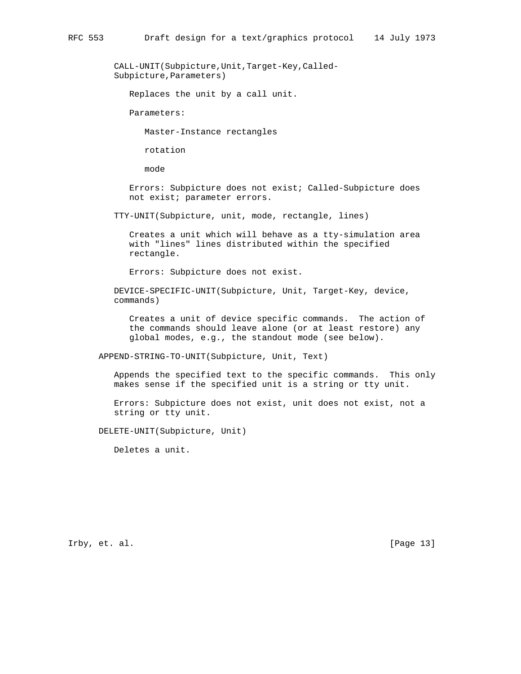CALL-UNIT(Subpicture,Unit,Target-Key,Called- Subpicture, Parameters)

Replaces the unit by a call unit.

Parameters:

Master-Instance rectangles

rotation

mode

 Errors: Subpicture does not exist; Called-Subpicture does not exist; parameter errors.

TTY-UNIT(Subpicture, unit, mode, rectangle, lines)

 Creates a unit which will behave as a tty-simulation area with "lines" lines distributed within the specified rectangle.

Errors: Subpicture does not exist.

 DEVICE-SPECIFIC-UNIT(Subpicture, Unit, Target-Key, device, commands)

 Creates a unit of device specific commands. The action of the commands should leave alone (or at least restore) any global modes, e.g., the standout mode (see below).

APPEND-STRING-TO-UNIT(Subpicture, Unit, Text)

 Appends the specified text to the specific commands. This only makes sense if the specified unit is a string or tty unit.

 Errors: Subpicture does not exist, unit does not exist, not a string or tty unit.

DELETE-UNIT(Subpicture, Unit)

Deletes a unit.

Irby, et. al. [Page 13]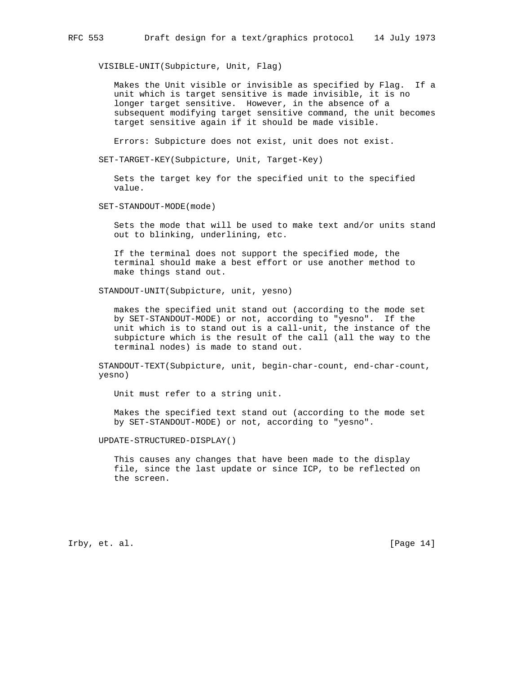VISIBLE-UNIT(Subpicture, Unit, Flag)

 Makes the Unit visible or invisible as specified by Flag. If a unit which is target sensitive is made invisible, it is no longer target sensitive. However, in the absence of a subsequent modifying target sensitive command, the unit becomes target sensitive again if it should be made visible.

Errors: Subpicture does not exist, unit does not exist.

SET-TARGET-KEY(Subpicture, Unit, Target-Key)

 Sets the target key for the specified unit to the specified value.

SET-STANDOUT-MODE(mode)

 Sets the mode that will be used to make text and/or units stand out to blinking, underlining, etc.

 If the terminal does not support the specified mode, the terminal should make a best effort or use another method to make things stand out.

STANDOUT-UNIT(Subpicture, unit, yesno)

 makes the specified unit stand out (according to the mode set by SET-STANDOUT-MODE) or not, according to "yesno". If the unit which is to stand out is a call-unit, the instance of the subpicture which is the result of the call (all the way to the terminal nodes) is made to stand out.

 STANDOUT-TEXT(Subpicture, unit, begin-char-count, end-char-count, yesno)

Unit must refer to a string unit.

 Makes the specified text stand out (according to the mode set by SET-STANDOUT-MODE) or not, according to "yesno".

UPDATE-STRUCTURED-DISPLAY()

 This causes any changes that have been made to the display file, since the last update or since ICP, to be reflected on the screen.

Irby, et. al. [Page 14]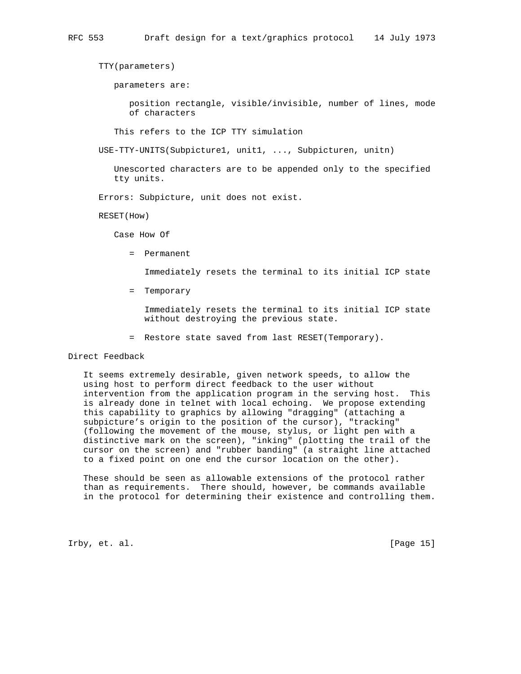TTY(parameters)

parameters are:

 position rectangle, visible/invisible, number of lines, mode of characters

This refers to the ICP TTY simulation

USE-TTY-UNITS(Subpicture1, unit1, ..., Subpicturen, unitn)

 Unescorted characters are to be appended only to the specified tty units.

Errors: Subpicture, unit does not exist.

RESET(How)

Case How Of

= Permanent

Immediately resets the terminal to its initial ICP state

= Temporary

 Immediately resets the terminal to its initial ICP state without destroying the previous state.

= Restore state saved from last RESET(Temporary).

# Direct Feedback

 It seems extremely desirable, given network speeds, to allow the using host to perform direct feedback to the user without intervention from the application program in the serving host. This is already done in telnet with local echoing. We propose extending this capability to graphics by allowing "dragging" (attaching a subpicture's origin to the position of the cursor), "tracking" (following the movement of the mouse, stylus, or light pen with a distinctive mark on the screen), "inking" (plotting the trail of the cursor on the screen) and "rubber banding" (a straight line attached to a fixed point on one end the cursor location on the other).

 These should be seen as allowable extensions of the protocol rather than as requirements. There should, however, be commands available in the protocol for determining their existence and controlling them.

Irby, et. al. [Page 15]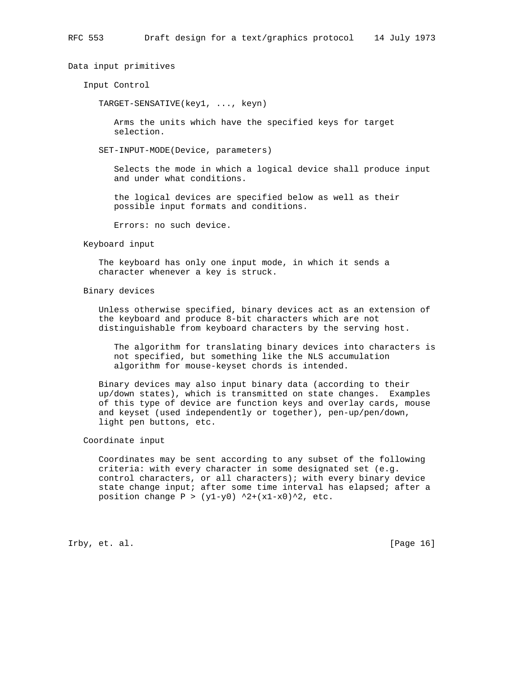Data input primitives

Input Control

TARGET-SENSATIVE(key1, ..., keyn)

 Arms the units which have the specified keys for target selection.

SET-INPUT-MODE(Device, parameters)

 Selects the mode in which a logical device shall produce input and under what conditions.

 the logical devices are specified below as well as their possible input formats and conditions.

Errors: no such device.

### Keyboard input

 The keyboard has only one input mode, in which it sends a character whenever a key is struck.

# Binary devices

 Unless otherwise specified, binary devices act as an extension of the keyboard and produce 8-bit characters which are not distinguishable from keyboard characters by the serving host.

 The algorithm for translating binary devices into characters is not specified, but something like the NLS accumulation algorithm for mouse-keyset chords is intended.

 Binary devices may also input binary data (according to their up/down states), which is transmitted on state changes. Examples of this type of device are function keys and overlay cards, mouse and keyset (used independently or together), pen-up/pen/down, light pen buttons, etc.

# Coordinate input

 Coordinates may be sent according to any subset of the following criteria: with every character in some designated set (e.g. control characters, or all characters); with every binary device state change input; after some time interval has elapsed; after a position change  $P > (y1-y0)$  ^2+(x1-x0)^2, etc.

Irby, et. al. [Page 16]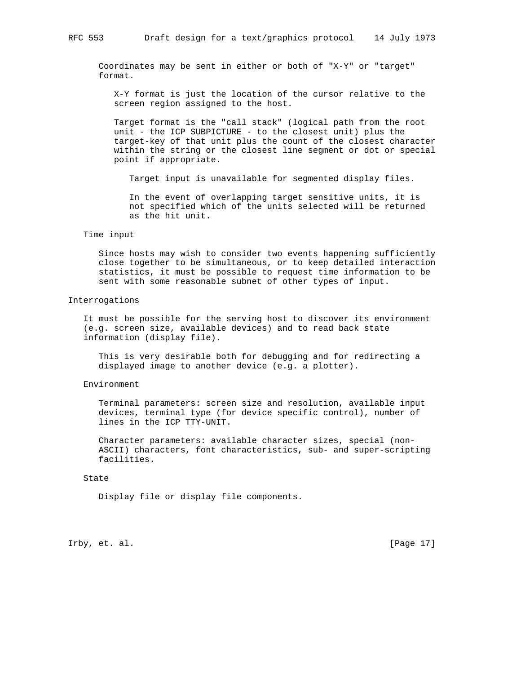Coordinates may be sent in either or both of "X-Y" or "target" format.

 X-Y format is just the location of the cursor relative to the screen region assigned to the host.

 Target format is the "call stack" (logical path from the root unit - the ICP SUBPICTURE - to the closest unit) plus the target-key of that unit plus the count of the closest character within the string or the closest line segment or dot or special point if appropriate.

Target input is unavailable for segmented display files.

 In the event of overlapping target sensitive units, it is not specified which of the units selected will be returned as the hit unit.

#### Time input

 Since hosts may wish to consider two events happening sufficiently close together to be simultaneous, or to keep detailed interaction statistics, it must be possible to request time information to be sent with some reasonable subnet of other types of input.

#### Interrogations

 It must be possible for the serving host to discover its environment (e.g. screen size, available devices) and to read back state information (display file).

 This is very desirable both for debugging and for redirecting a displayed image to another device (e.g. a plotter).

# Environment

 Terminal parameters: screen size and resolution, available input devices, terminal type (for device specific control), number of lines in the ICP TTY-UNIT.

 Character parameters: available character sizes, special (non- ASCII) characters, font characteristics, sub- and super-scripting facilities.

### State

Display file or display file components.

Irby, et. al. [Page 17]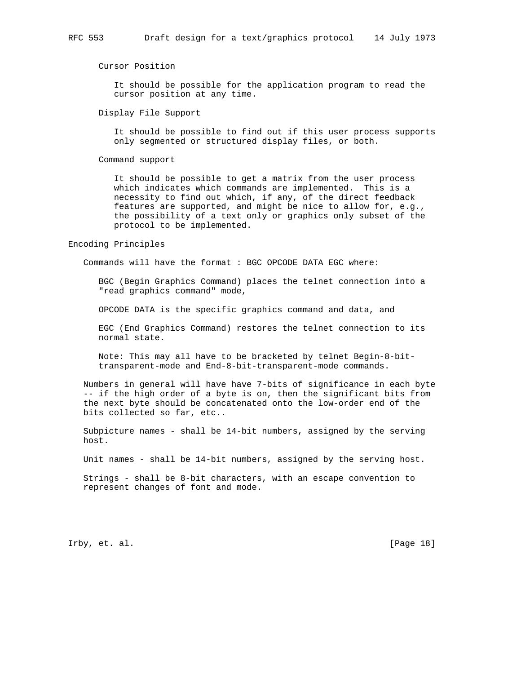Cursor Position

 It should be possible for the application program to read the cursor position at any time.

Display File Support

 It should be possible to find out if this user process supports only segmented or structured display files, or both.

Command support

 It should be possible to get a matrix from the user process which indicates which commands are implemented. This is a necessity to find out which, if any, of the direct feedback features are supported, and might be nice to allow for, e.g., the possibility of a text only or graphics only subset of the protocol to be implemented.

Encoding Principles

Commands will have the format : BGC OPCODE DATA EGC where:

 BGC (Begin Graphics Command) places the telnet connection into a "read graphics command" mode,

OPCODE DATA is the specific graphics command and data, and

 EGC (End Graphics Command) restores the telnet connection to its normal state.

 Note: This may all have to be bracketed by telnet Begin-8-bit transparent-mode and End-8-bit-transparent-mode commands.

 Numbers in general will have have 7-bits of significance in each byte -- if the high order of a byte is on, then the significant bits from the next byte should be concatenated onto the low-order end of the bits collected so far, etc..

 Subpicture names - shall be 14-bit numbers, assigned by the serving host.

Unit names - shall be 14-bit numbers, assigned by the serving host.

 Strings - shall be 8-bit characters, with an escape convention to represent changes of font and mode.

Irby, et. al. [Page 18]